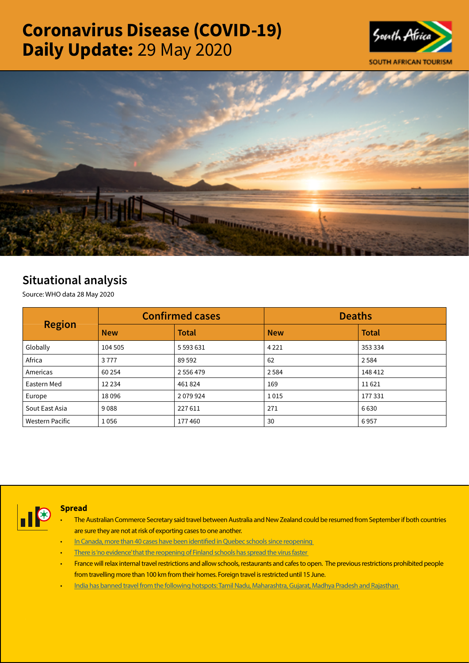# Coronavirus Disease (COVID-19) Daily Update: 29 May 2020





# Situational analysis

Source: WHO data 28 May 2020

| <b>Region</b>   |            | <b>Confirmed cases</b> | <b>Deaths</b> |              |  |
|-----------------|------------|------------------------|---------------|--------------|--|
|                 | <b>New</b> | <b>Total</b>           | <b>New</b>    | <b>Total</b> |  |
| Globally        | 104 505    | 5 5 9 3 6 3 1          | 4 2 2 1       | 353 334      |  |
| Africa          | 3777       | 89 5 92                | 62            | 2584         |  |
| Americas        | 60 254     | 2 556 479              | 2584          | 148 412      |  |
| Eastern Med     | 12 2 34    | 461824                 | 169           | 11621        |  |
| Europe          | 18096      | 2079924                | 1015          | 177 331      |  |
| Sout East Asia  | 9088       | 227 611                | 271           | 6630         |  |
| Western Pacific | 1056       | 177460                 | 30            | 6957         |  |



## **Spread**

- The Australian Commerce Secretary said travel between Australia and New Zealand could be resumed from September if both countries are sure they are not at risk of exporting cases to one another.
- [In Canada, more than 40 cases have been identified in Quebec schools since reopening](https://t.co/RbaViUYZKh?amp=1)
- There is 'no evidence' that the reopening of Finland schools has spread the virus faster
- France will relax internal travel restrictions and allow schools, restaurants and cafes to open. The previous restrictions prohibited people from travelling more than 100 km from their homes. Foreign travel is restricted until 15 June.
- [India has banned travel from the following hotspots: Tamil Nadu, Maharashtra, Gujarat, Madhya Pradesh and Rajasthan](https://t.co/Y2h7ooKzqC?amp=1)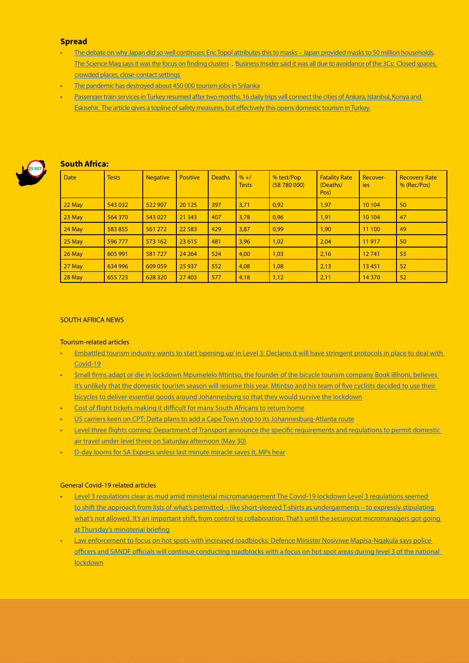#### **Spread**

- [The debate on why Japan did so well continues: Eric Topol attributes this to masks Japan provided masks to 50 million households](https://t.co/qoGmHAgAr9?amp=1). [The Science Mag says it was the focus on finding clusters](https://t.co/0jQlkEBPoo?amp=1) . [Business Insider said it was all due to avoidance of the 3Cs: Closed spaces,](https://t.co/2PCIBkBiAh?amp=1)  [crowded places, close-contact settings](https://t.co/2PCIBkBiAh?amp=1)
- [The pandemic has destroyed about 450 000 tourism jobs in Srilanka](https://t.co/wl2lktny5U?amp=1)
- Passenger train services in Turkey resumed after two months. 16 daily trips will connect the cities of Ankara, Istanbul, Konya and [Eskisehir. The article gives a topline of safety measures, but effectively this opens domestic tourism in Turkey.](https://is.gd/HDy2OD)



## South Africa:

| <b>Date</b> | <b>Tests</b> | <b>Negative</b> | <b>Positive</b> | <b>Deaths</b> | $% + /$<br><b>Tests</b> | % test/Pop<br>(58780000) | <b>Fatality Rate</b><br>(Deaths/<br>Pos) | Recover-<br>ies | <b>Recovery Rate</b><br>% (Rec/Pos) |
|-------------|--------------|-----------------|-----------------|---------------|-------------------------|--------------------------|------------------------------------------|-----------------|-------------------------------------|
| $22$ May    | 543 032      | 522 907         | 20 1 25         | 397           | 3,71                    | 0,92                     | 1,97                                     | 10 104          | 50                                  |
| $23$ May    | 564 370      | 543 027         | 21 3 4 3        | 407           | 3,78                    | 0,96                     | 1,91                                     | 10 104          | 47                                  |
| $24$ May    | 583855       | 561 272         | 22 5 83         | 429           | 3,87                    | 0,99                     | 1,90                                     | 11 100          | 49                                  |
| $25$ May    | 596 777      | 573 162         | 23 6 15         | 481           | 3,96                    | 1,02                     | 2,04                                     | 11917           | 50                                  |
| $26$ May    | 605 991      | 581727          | 24 264          | 524           | 4,00                    | 1,03                     | 2,16                                     | 12741           | 53                                  |
| $27$ May    | 634 996      | 609 059         | 25 9 37         | 552           | 4,08                    | 1,08                     | 2,13                                     | 13 4 51         | 52                                  |
| 28 May      | 655 723      | 628 320         | 27 403          | 577           | 4,18                    | 1,12                     | 2,11                                     | 14 3 70         | 52                                  |

#### SOUTH AFRICA NEWS

#### Tourism-related articles

- [Embattled tourism industry wants to start 'opening up' in Level 3: Declares it will have stringent protocols in place to deal with](https://www.moneyweb.co.za/news/south-africa/embattled-tourism-industry-wants-to-start-opening-up-in-level-3/)  [Covid-19](https://www.moneyweb.co.za/news/south-africa/embattled-tourism-industry-wants-to-start-opening-up-in-level-3/)
- [Small firms adapt or die in lockdown Mpumelelo Mtintso, the founder of the bicycle tourism company Book iBhoni, believes](https://mg.co.za/business/2020-05-28-small-firms-adapt-or-die-in-lockdown/)  [it's unlikely that the domestic tourism season will resume this year. Mtintso and his team of five cyclists decided to use their](https://mg.co.za/business/2020-05-28-small-firms-adapt-or-die-in-lockdown/)  [bicycles to deliver essential goods around Johannesburg so that they would survive the lockdown](https://mg.co.za/business/2020-05-28-small-firms-adapt-or-die-in-lockdown/)
- [Cost of flight tickets making it difficult for many South Africans to return home](https://www.iol.co.za/capetimes/news/cost-of-flight-tickets-making-it-difficult-for-many-south-africans-to-return-home-48659861)
- [US carriers keen on CPT: Delta plans to add a Cape Town stop to its Johannesburg-Atlanta route](https://www.travelnews.co.za/article/us-carriers-keen-cpt)
- Level three flights coming: Department of Transport announce the specific requirements and regulations to permit domestic [air travel under level three on Saturday afternoon \(May 30\)](https://www.travelnews.co.za/article/level-three-flights-coming)
- [D-day looms for SA Express unless last minute miracle saves it, MPs hear](https://www.fin24.com/Companies/Industrial/d-day-looms-for-sa-express-unless-last-minute-miracle-saves-it-mps-hear-20200528)

#### General Covid-19 related articles

- [Level 3 regulations clear as mud amid ministerial micromanagement The Covid-19 lockdown Level 3 regulations seemed](https://www.dailymaverick.co.za/article/2020-05-29-level-3-regulations-clear-as-mud-amid-ministerial-micromanagement/)  [to shift the approach from lists of what's permitted – like short-sleeved T-shirts as undergarments – to expressly stipulating](https://www.dailymaverick.co.za/article/2020-05-29-level-3-regulations-clear-as-mud-amid-ministerial-micromanagement/)  [what's not allowed. It's an important shift, from control to collaboration. That's until the securocrat micromanagers got going](https://www.dailymaverick.co.za/article/2020-05-29-level-3-regulations-clear-as-mud-amid-ministerial-micromanagement/)  [at Thursday's ministerial briefing](https://www.dailymaverick.co.za/article/2020-05-29-level-3-regulations-clear-as-mud-amid-ministerial-micromanagement/)
- [Law enforcement to focus on hot spots with increased roadblocks: Defence Minister Nosiviwe Mapisa-Nqakula says police](https://www.iol.co.za/news/south-africa/law-enforcement-to-focus-on-hot-spots-with-increased-roadblocks-48637712)  [officers and SANDF officials will continue conducting roadblocks with a focus on hot spot areas during level 3 of the national](https://www.iol.co.za/news/south-africa/law-enforcement-to-focus-on-hot-spots-with-increased-roadblocks-48637712)  [lockdown](https://www.iol.co.za/news/south-africa/law-enforcement-to-focus-on-hot-spots-with-increased-roadblocks-48637712)